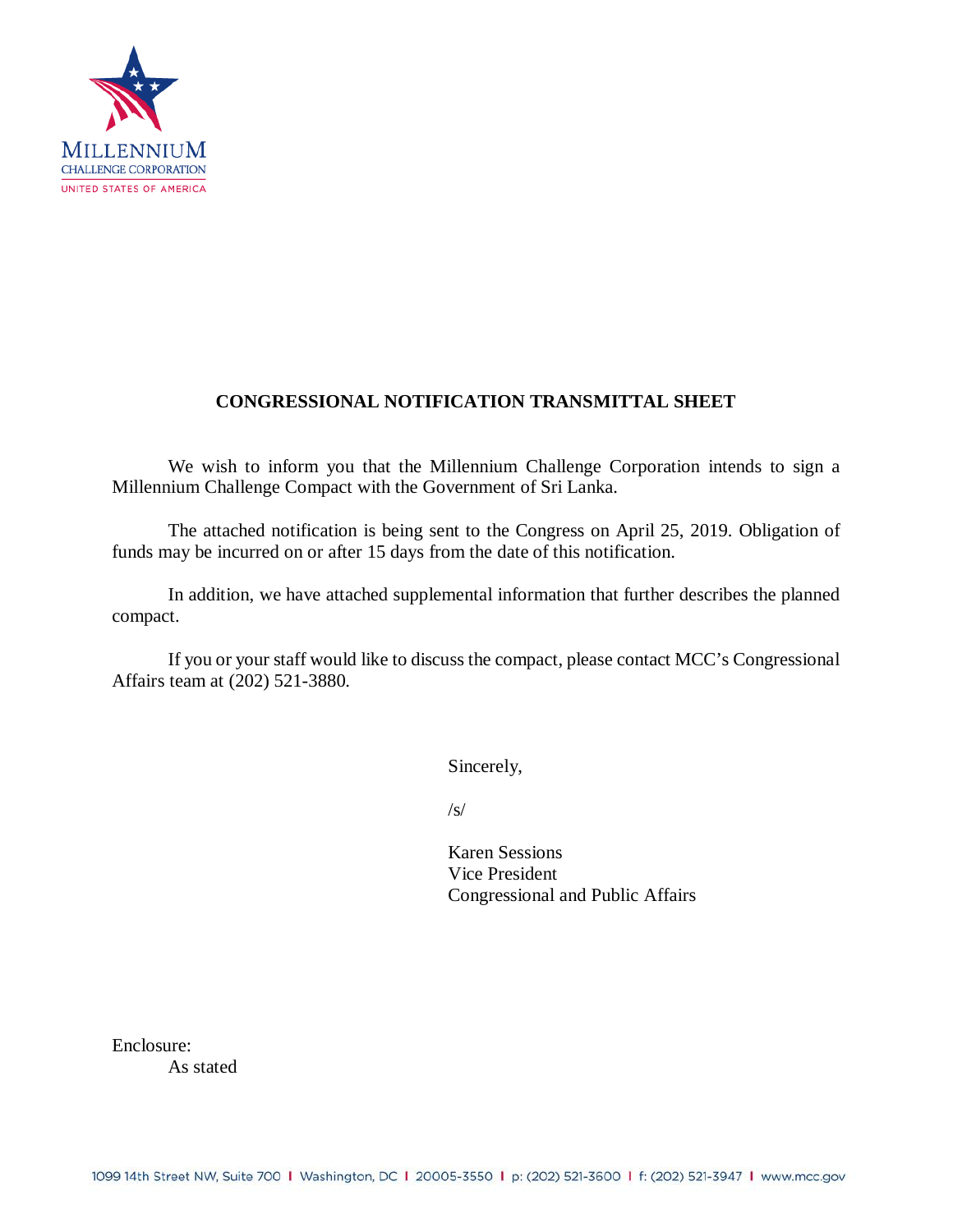

# **CONGRESSIONAL NOTIFICATION TRANSMITTAL SHEET**

We wish to inform you that the Millennium Challenge Corporation intends to sign a Millennium Challenge Compact with the Government of Sri Lanka.

The attached notification is being sent to the Congress on April 25, 2019. Obligation of funds may be incurred on or after 15 days from the date of this notification.

In addition, we have attached supplemental information that further describes the planned compact.

If you or your staff would like to discuss the compact, please contact MCC's Congressional Affairs team at (202) 521-3880.

Sincerely,

 $\sqrt{s}$ 

Karen Sessions Vice President Congressional and Public Affairs

Enclosure:

As stated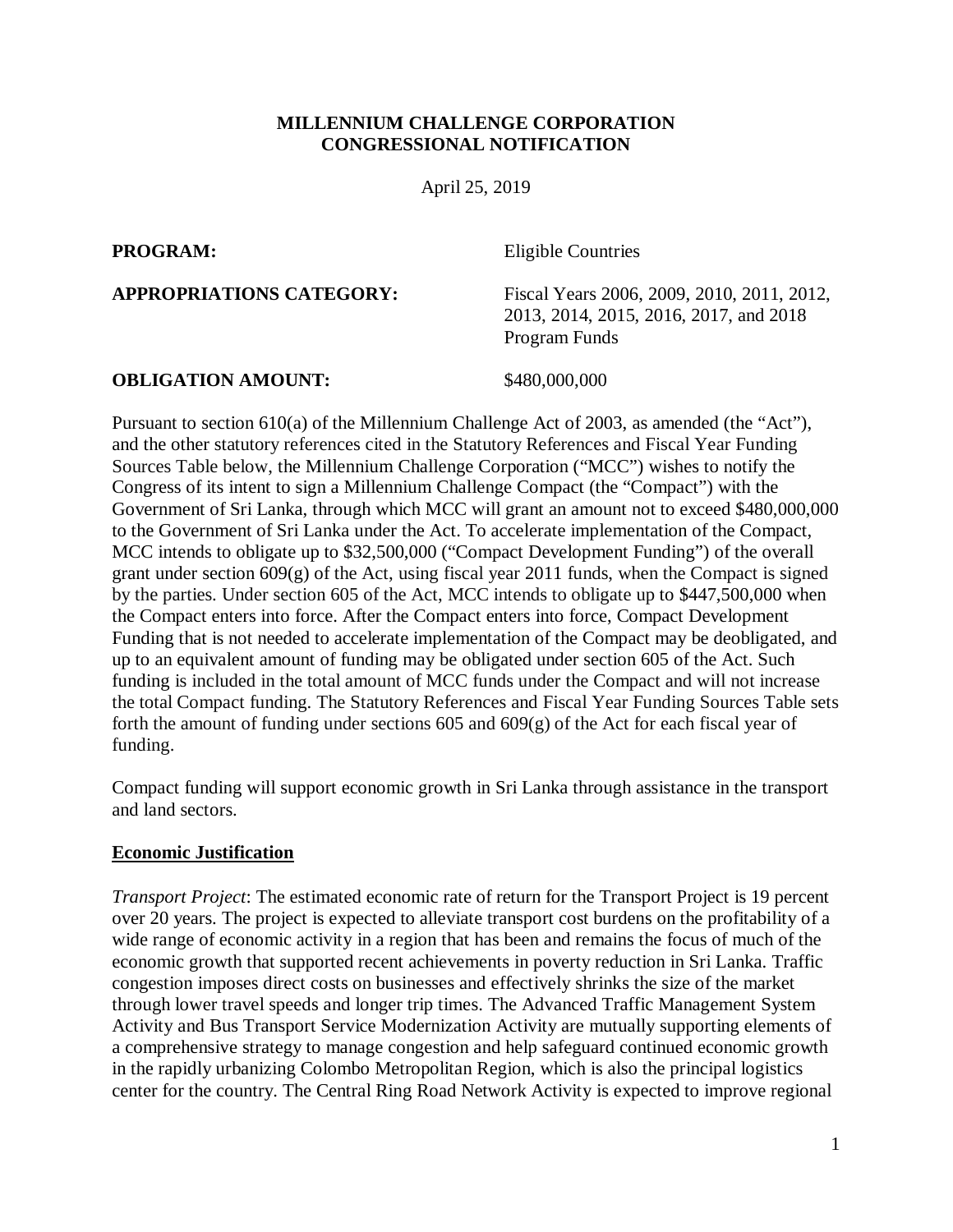#### **MILLENNIUM CHALLENGE CORPORATION CONGRESSIONAL NOTIFICATION**

April 25, 2019

**PROGRAM:** Eligible Countries

**APPROPRIATIONS CATEGORY:** Fiscal Years 2006, 2009, 2010, 2011, 2012, 2013, 2014, 2015, 2016, 2017, and 2018 Program Funds

#### **OBLIGATION AMOUNT:** \$480,000,000

Pursuant to section 610(a) of the Millennium Challenge Act of 2003, as amended (the "Act"), and the other statutory references cited in the Statutory References and Fiscal Year Funding Sources Table below, the Millennium Challenge Corporation ("MCC") wishes to notify the Congress of its intent to sign a Millennium Challenge Compact (the "Compact") with the Government of Sri Lanka, through which MCC will grant an amount not to exceed \$480,000,000 to the Government of Sri Lanka under the Act. To accelerate implementation of the Compact, MCC intends to obligate up to \$32,500,000 ("Compact Development Funding") of the overall grant under section 609(g) of the Act, using fiscal year 2011 funds, when the Compact is signed by the parties. Under section 605 of the Act, MCC intends to obligate up to \$447,500,000 when the Compact enters into force. After the Compact enters into force, Compact Development Funding that is not needed to accelerate implementation of the Compact may be deobligated, and up to an equivalent amount of funding may be obligated under section 605 of the Act. Such funding is included in the total amount of MCC funds under the Compact and will not increase the total Compact funding. The Statutory References and Fiscal Year Funding Sources Table sets forth the amount of funding under sections 605 and 609(g) of the Act for each fiscal year of funding.

Compact funding will support economic growth in Sri Lanka through assistance in the transport and land sectors.

#### **Economic Justification**

*Transport Project*: The estimated economic rate of return for the Transport Project is 19 percent over 20 years. The project is expected to alleviate transport cost burdens on the profitability of a wide range of economic activity in a region that has been and remains the focus of much of the economic growth that supported recent achievements in poverty reduction in Sri Lanka. Traffic congestion imposes direct costs on businesses and effectively shrinks the size of the market through lower travel speeds and longer trip times. The Advanced Traffic Management System Activity and Bus Transport Service Modernization Activity are mutually supporting elements of a comprehensive strategy to manage congestion and help safeguard continued economic growth in the rapidly urbanizing Colombo Metropolitan Region, which is also the principal logistics center for the country. The Central Ring Road Network Activity is expected to improve regional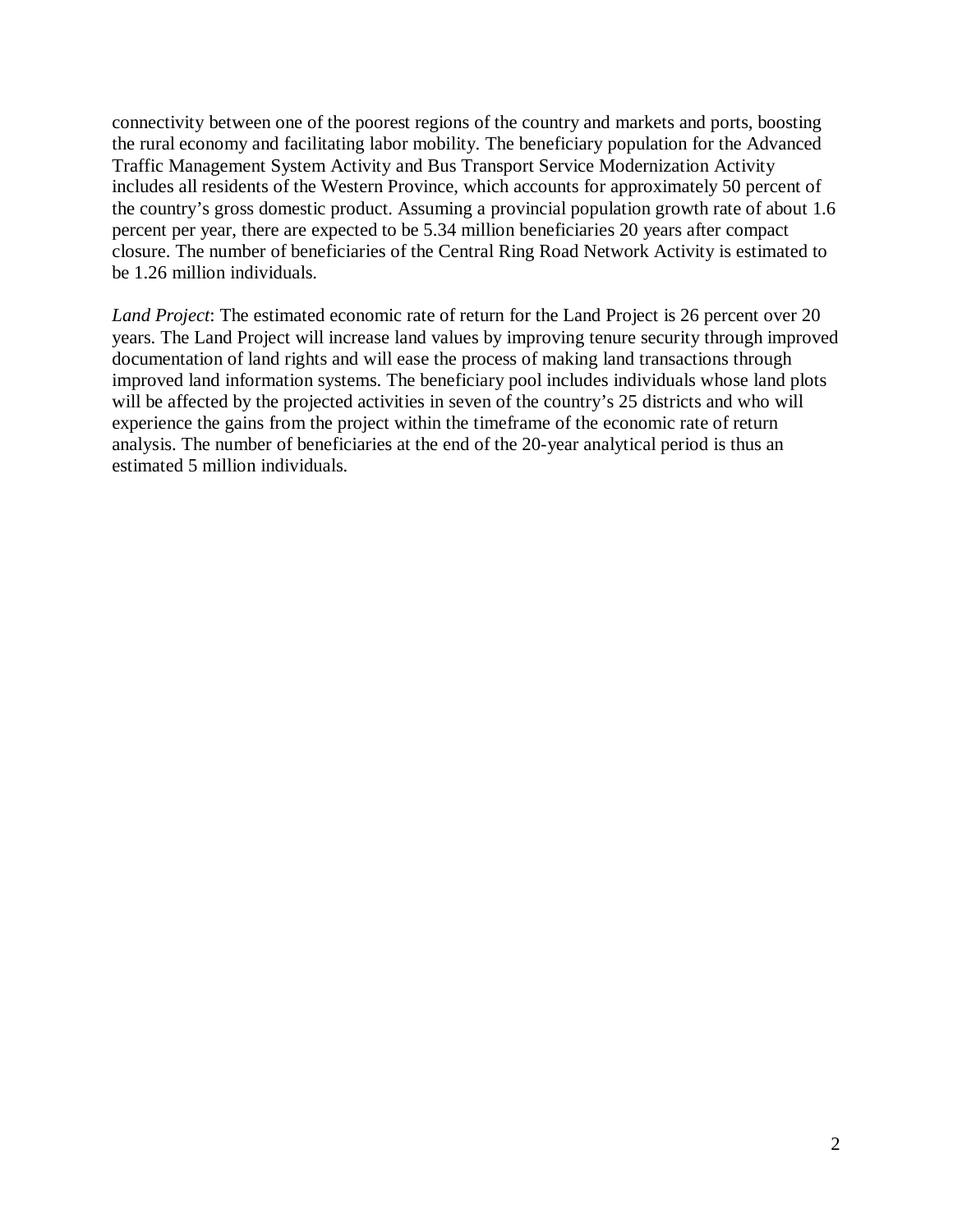connectivity between one of the poorest regions of the country and markets and ports, boosting the rural economy and facilitating labor mobility. The beneficiary population for the Advanced Traffic Management System Activity and Bus Transport Service Modernization Activity includes all residents of the Western Province, which accounts for approximately 50 percent of the country's gross domestic product. Assuming a provincial population growth rate of about 1.6 percent per year, there are expected to be 5.34 million beneficiaries 20 years after compact closure. The number of beneficiaries of the Central Ring Road Network Activity is estimated to be 1.26 million individuals.

*Land Project*: The estimated economic rate of return for the Land Project is 26 percent over 20 years. The Land Project will increase land values by improving tenure security through improved documentation of land rights and will ease the process of making land transactions through improved land information systems. The beneficiary pool includes individuals whose land plots will be affected by the projected activities in seven of the country's 25 districts and who will experience the gains from the project within the timeframe of the economic rate of return analysis. The number of beneficiaries at the end of the 20-year analytical period is thus an estimated 5 million individuals.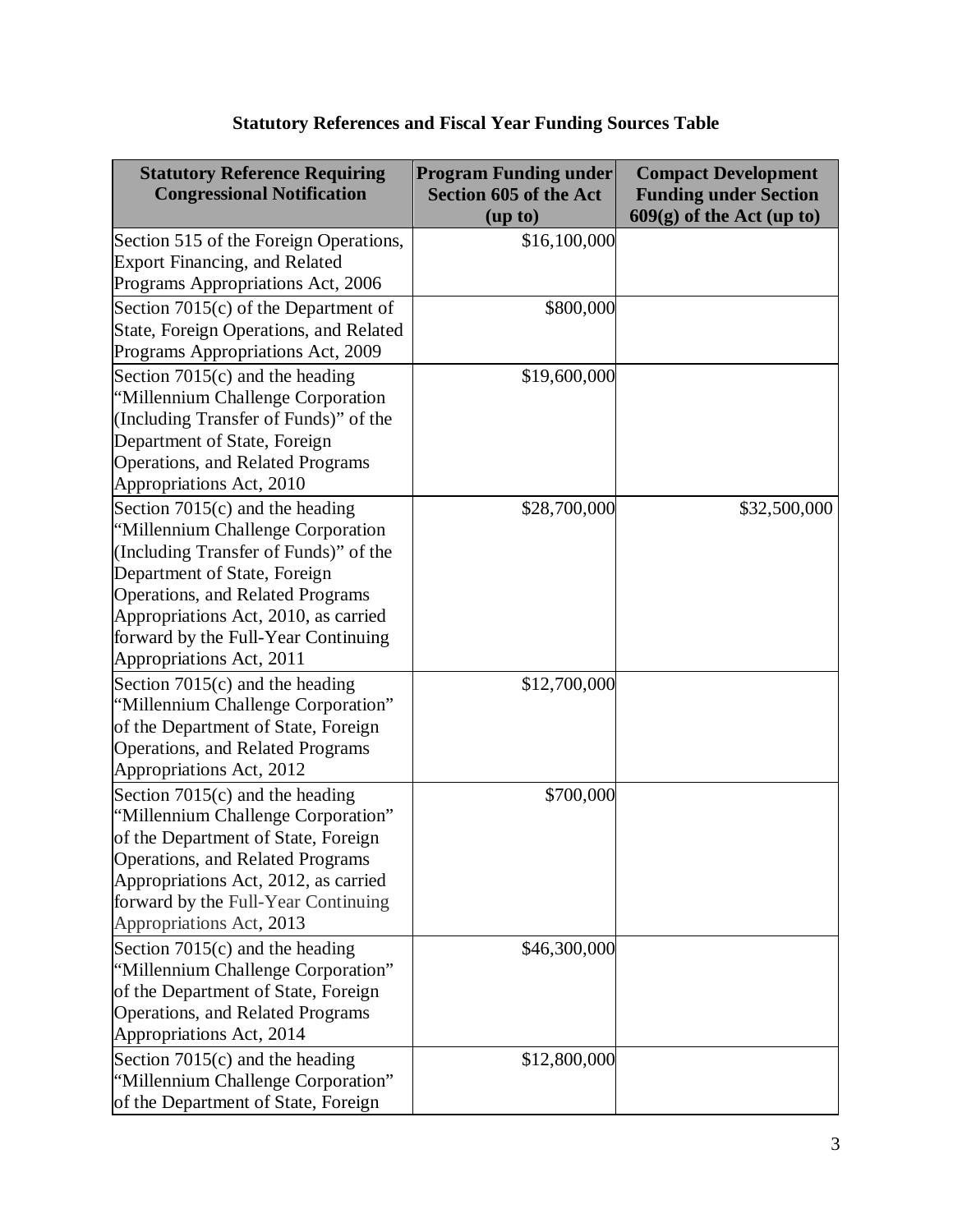| <b>Statutory Reference Requiring</b><br><b>Congressional Notification</b>                                                                                                                                                                                                                      | <b>Program Funding under</b><br><b>Section 605 of the Act</b><br>(up to) | <b>Compact Development</b><br><b>Funding under Section</b><br>$609(g)$ of the Act (up to) |
|------------------------------------------------------------------------------------------------------------------------------------------------------------------------------------------------------------------------------------------------------------------------------------------------|--------------------------------------------------------------------------|-------------------------------------------------------------------------------------------|
| Section 515 of the Foreign Operations,<br><b>Export Financing, and Related</b><br>Programs Appropriations Act, 2006                                                                                                                                                                            | \$16,100,000                                                             |                                                                                           |
| Section 7015(c) of the Department of<br>State, Foreign Operations, and Related<br>Programs Appropriations Act, 2009                                                                                                                                                                            | \$800,000                                                                |                                                                                           |
| Section $7015(c)$ and the heading<br>"Millennium Challenge Corporation<br>(Including Transfer of Funds)" of the<br>Department of State, Foreign<br>Operations, and Related Programs<br>Appropriations Act, 2010                                                                                | \$19,600,000                                                             |                                                                                           |
| Section $7015(c)$ and the heading<br>"Millennium Challenge Corporation<br>(Including Transfer of Funds)" of the<br>Department of State, Foreign<br>Operations, and Related Programs<br>Appropriations Act, 2010, as carried<br>forward by the Full-Year Continuing<br>Appropriations Act, 2011 | \$28,700,000                                                             | \$32,500,000                                                                              |
| Section $7015(c)$ and the heading<br>"Millennium Challenge Corporation"<br>of the Department of State, Foreign<br>Operations, and Related Programs<br>Appropriations Act, 2012                                                                                                                 | \$12,700,000                                                             |                                                                                           |
| Section $7015(c)$ and the heading<br>"Millennium Challenge Corporation"<br>of the Department of State, Foreign<br>Operations, and Related Programs<br>Appropriations Act, 2012, as carried<br>forward by the Full-Year Continuing<br>Appropriations Act, 2013                                  | \$700,000                                                                |                                                                                           |
| Section $7015(c)$ and the heading<br>"Millennium Challenge Corporation"<br>of the Department of State, Foreign<br>Operations, and Related Programs<br>Appropriations Act, 2014                                                                                                                 | \$46,300,000                                                             |                                                                                           |
| Section $7015(c)$ and the heading<br>"Millennium Challenge Corporation"<br>of the Department of State, Foreign                                                                                                                                                                                 | \$12,800,000                                                             |                                                                                           |

# **Statutory References and Fiscal Year Funding Sources Table**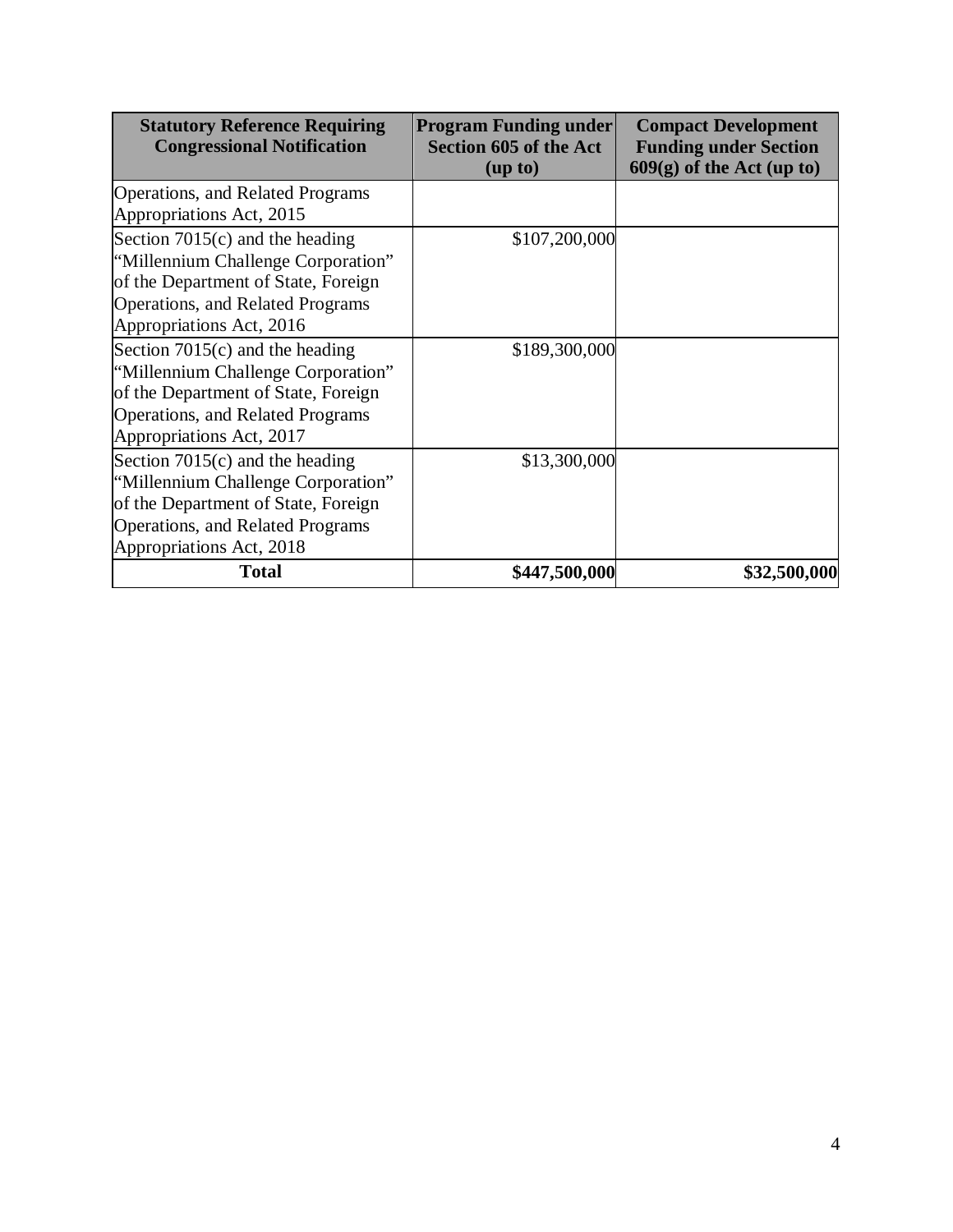| <b>Statutory Reference Requiring</b><br><b>Congressional Notification</b> | <b>Program Funding under</b><br><b>Section 605 of the Act</b><br>(up to) | <b>Compact Development</b><br><b>Funding under Section</b><br>$609(g)$ of the Act (up to) |
|---------------------------------------------------------------------------|--------------------------------------------------------------------------|-------------------------------------------------------------------------------------------|
| Operations, and Related Programs                                          |                                                                          |                                                                                           |
| Appropriations Act, 2015                                                  |                                                                          |                                                                                           |
| Section $7015(c)$ and the heading                                         | \$107,200,000                                                            |                                                                                           |
| "Millennium Challenge Corporation"                                        |                                                                          |                                                                                           |
| of the Department of State, Foreign                                       |                                                                          |                                                                                           |
| Operations, and Related Programs                                          |                                                                          |                                                                                           |
| Appropriations Act, 2016                                                  |                                                                          |                                                                                           |
| Section $7015(c)$ and the heading                                         | \$189,300,000                                                            |                                                                                           |
| "Millennium Challenge Corporation"                                        |                                                                          |                                                                                           |
| of the Department of State, Foreign                                       |                                                                          |                                                                                           |
| Operations, and Related Programs                                          |                                                                          |                                                                                           |
| Appropriations Act, 2017                                                  |                                                                          |                                                                                           |
| Section $7015(c)$ and the heading                                         | \$13,300,000                                                             |                                                                                           |
| "Millennium Challenge Corporation"                                        |                                                                          |                                                                                           |
| of the Department of State, Foreign                                       |                                                                          |                                                                                           |
| Operations, and Related Programs                                          |                                                                          |                                                                                           |
| Appropriations Act, 2018                                                  |                                                                          |                                                                                           |
| <b>Total</b>                                                              | \$447,500,000                                                            | \$32,500,000                                                                              |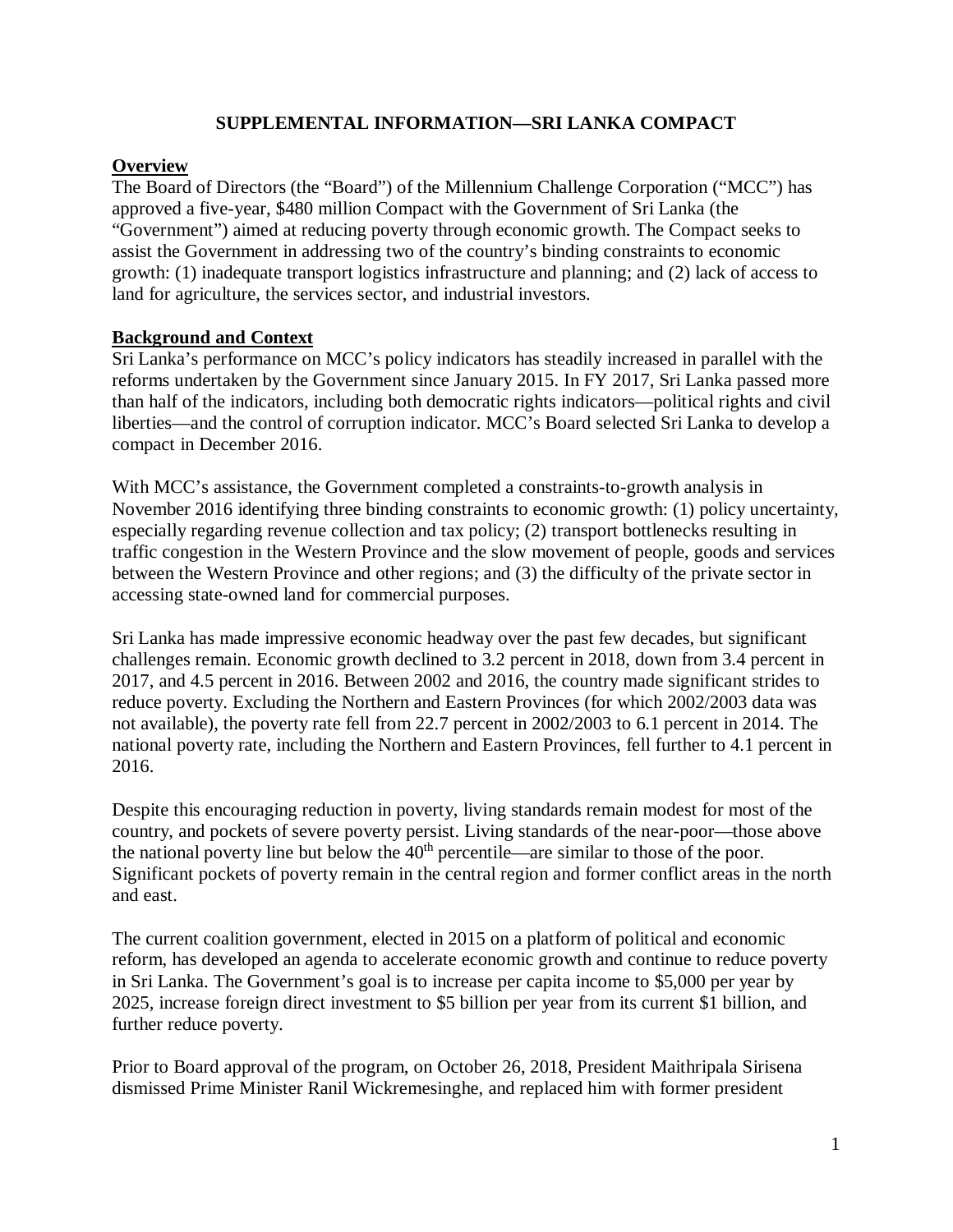# **SUPPLEMENTAL INFORMATION—SRI LANKA COMPACT**

# **Overview**

The Board of Directors (the "Board") of the Millennium Challenge Corporation ("MCC") has approved a five-year, \$480 million Compact with the Government of Sri Lanka (the "Government") aimed at reducing poverty through economic growth. The Compact seeks to assist the Government in addressing two of the country's binding constraints to economic growth: (1) inadequate transport logistics infrastructure and planning; and (2) lack of access to land for agriculture, the services sector, and industrial investors.

# **Background and Context**

Sri Lanka's performance on MCC's policy indicators has steadily increased in parallel with the reforms undertaken by the Government since January 2015. In FY 2017, Sri Lanka passed more than half of the indicators, including both democratic rights indicators—political rights and civil liberties—and the control of corruption indicator. MCC's Board selected Sri Lanka to develop a compact in December 2016.

With MCC's assistance, the Government completed a constraints-to-growth analysis in November 2016 identifying three binding constraints to economic growth: (1) policy uncertainty, especially regarding revenue collection and tax policy; (2) transport bottlenecks resulting in traffic congestion in the Western Province and the slow movement of people, goods and services between the Western Province and other regions; and (3) the difficulty of the private sector in accessing state-owned land for commercial purposes.

Sri Lanka has made impressive economic headway over the past few decades, but significant challenges remain. Economic growth declined to 3.2 percent in 2018, down from 3.4 percent in 2017, and 4.5 percent in 2016. Between 2002 and 2016, the country made significant strides to reduce poverty. Excluding the Northern and Eastern Provinces (for which 2002/2003 data was not available), the poverty rate fell from 22.7 percent in 2002/2003 to 6.1 percent in 2014. The national poverty rate, including the Northern and Eastern Provinces, fell further to 4.1 percent in 2016.

Despite this encouraging reduction in poverty, living standards remain modest for most of the country, and pockets of severe poverty persist. Living standards of the near-poor—those above the national poverty line but below the  $40<sup>th</sup>$  percentile—are similar to those of the poor. Significant pockets of poverty remain in the central region and former conflict areas in the north and east.

The current coalition government, elected in 2015 on a platform of political and economic reform, has developed an agenda to accelerate economic growth and continue to reduce poverty in Sri Lanka. The Government's goal is to increase per capita income to \$5,000 per year by 2025, increase foreign direct investment to \$5 billion per year from its current \$1 billion, and further reduce poverty.

Prior to Board approval of the program, on October 26, 2018, President Maithripala Sirisena dismissed Prime Minister Ranil Wickremesinghe, and replaced him with former president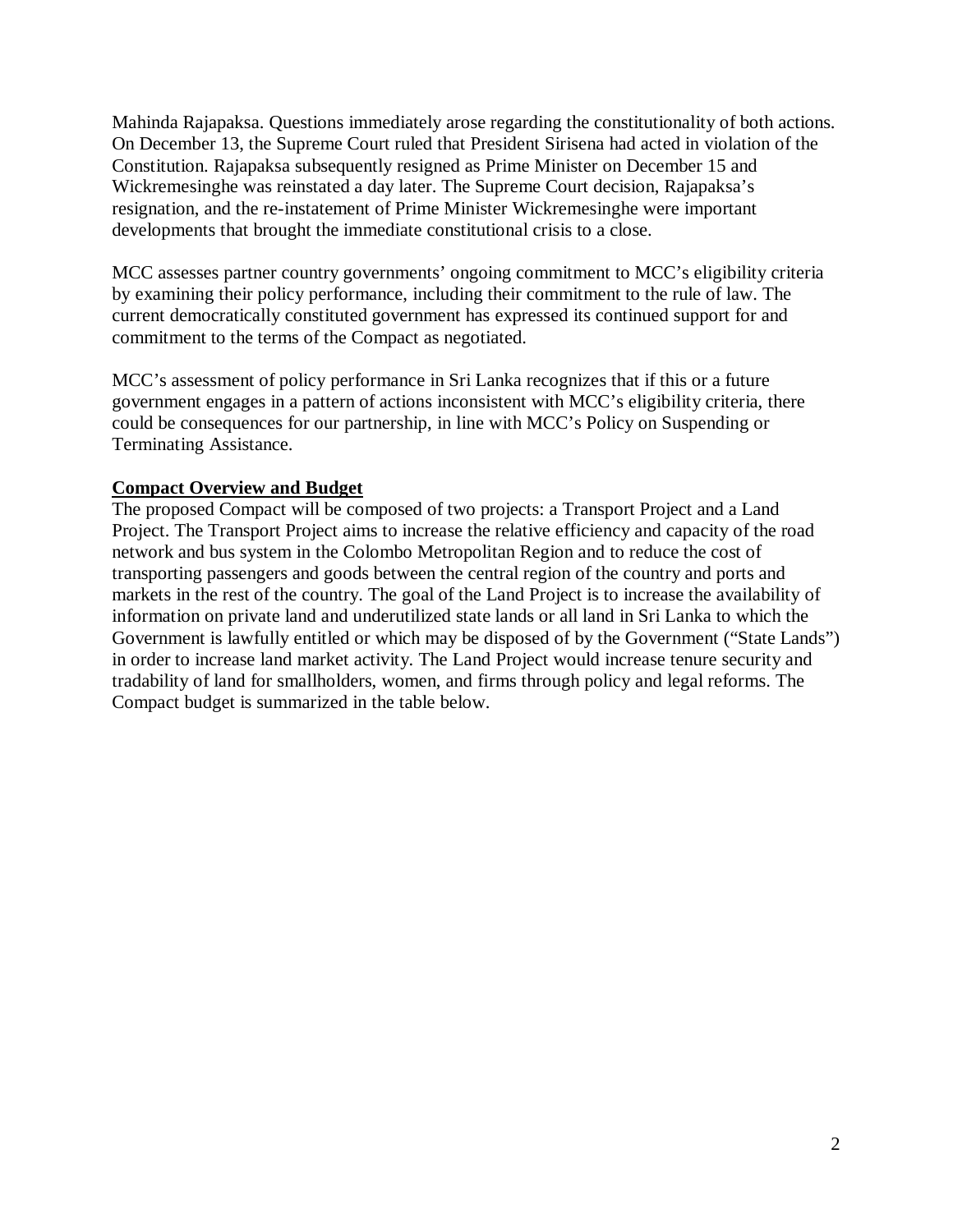Mahinda Rajapaksa. Questions immediately arose regarding the constitutionality of both actions. On December 13, the Supreme Court ruled that President Sirisena had acted in violation of the Constitution. Rajapaksa subsequently resigned as Prime Minister on December 15 and Wickremesinghe was reinstated a day later. The Supreme Court decision, Rajapaksa's resignation, and the re-instatement of Prime Minister Wickremesinghe were important developments that brought the immediate constitutional crisis to a close.

MCC assesses partner country governments' ongoing commitment to MCC's eligibility criteria by examining their policy performance, including their commitment to the rule of law. The current democratically constituted government has expressed its continued support for and commitment to the terms of the Compact as negotiated.

MCC's assessment of policy performance in Sri Lanka recognizes that if this or a future government engages in a pattern of actions inconsistent with MCC's eligibility criteria, there could be consequences for our partnership, in line with MCC's Policy on Suspending or Terminating Assistance.

# **Compact Overview and Budget**

The proposed Compact will be composed of two projects: a Transport Project and a Land Project. The Transport Project aims to increase the relative efficiency and capacity of the road network and bus system in the Colombo Metropolitan Region and to reduce the cost of transporting passengers and goods between the central region of the country and ports and markets in the rest of the country. The goal of the Land Project is to increase the availability of information on private land and underutilized state lands or all land in Sri Lanka to which the Government is lawfully entitled or which may be disposed of by the Government ("State Lands") in order to increase land market activity. The Land Project would increase tenure security and tradability of land for smallholders, women, and firms through policy and legal reforms. The Compact budget is summarized in the table below.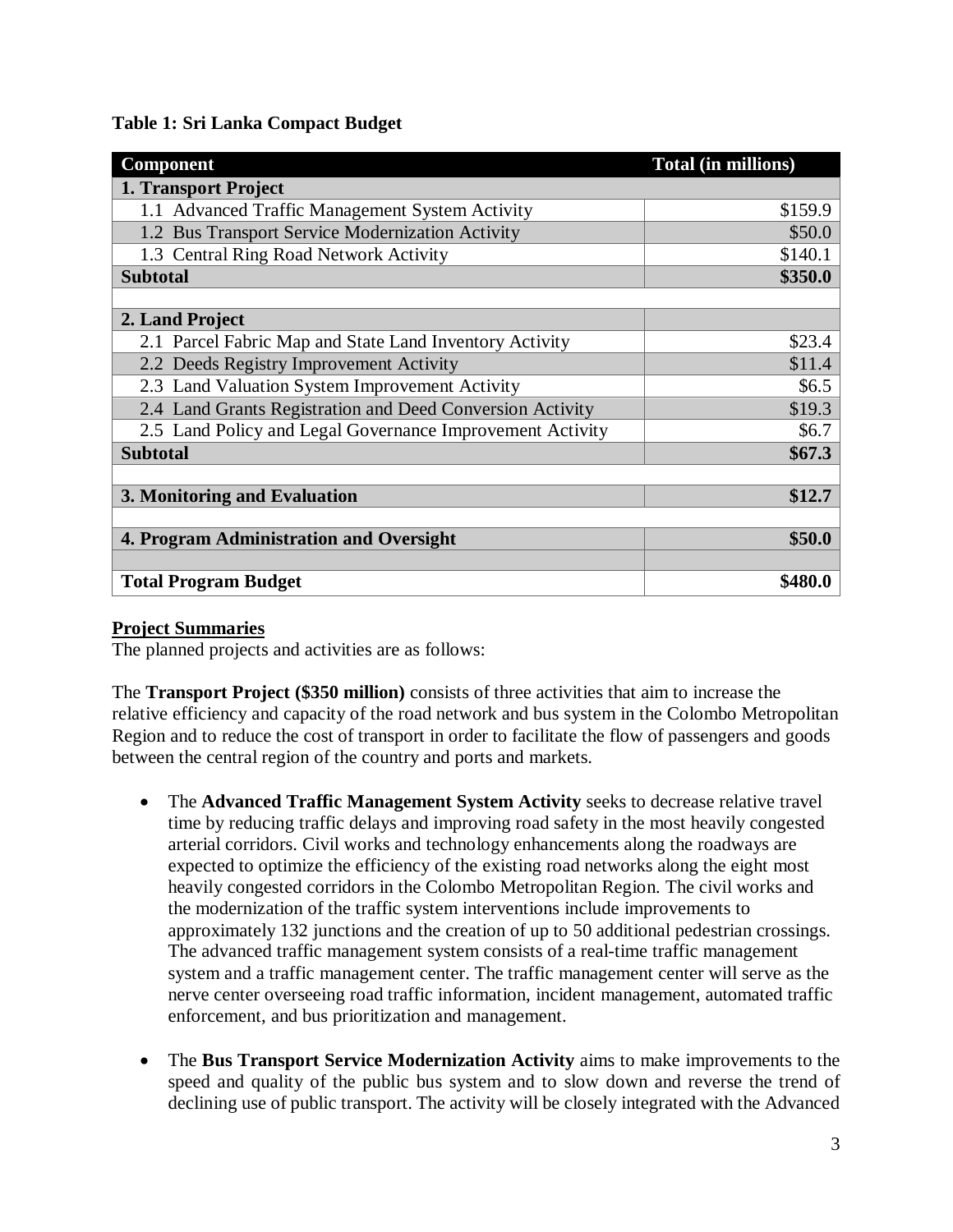**Table 1: Sri Lanka Compact Budget**

| Component                                                 | Total (in millions) |
|-----------------------------------------------------------|---------------------|
| 1. Transport Project                                      |                     |
| 1.1 Advanced Traffic Management System Activity           | \$159.9             |
| 1.2 Bus Transport Service Modernization Activity          | \$50.0              |
| 1.3 Central Ring Road Network Activity                    | \$140.1             |
| <b>Subtotal</b>                                           | \$350.0             |
|                                                           |                     |
| 2. Land Project                                           |                     |
| 2.1 Parcel Fabric Map and State Land Inventory Activity   | \$23.4              |
| 2.2 Deeds Registry Improvement Activity                   | \$11.4              |
| 2.3 Land Valuation System Improvement Activity            | \$6.5               |
| 2.4 Land Grants Registration and Deed Conversion Activity | \$19.3              |
| 2.5 Land Policy and Legal Governance Improvement Activity | \$6.7               |
| <b>Subtotal</b>                                           | \$67.3\$            |
|                                                           |                     |
| 3. Monitoring and Evaluation                              | \$12.7              |
|                                                           |                     |
| 4. Program Administration and Oversight                   | \$50.0              |
|                                                           |                     |
| <b>Total Program Budget</b>                               | \$480.0             |

# **Project Summaries**

The planned projects and activities are as follows:

The **Transport Project (\$350 million)** consists of three activities that aim to increase the relative efficiency and capacity of the road network and bus system in the Colombo Metropolitan Region and to reduce the cost of transport in order to facilitate the flow of passengers and goods between the central region of the country and ports and markets.

- The **Advanced Traffic Management System Activity** seeks to decrease relative travel time by reducing traffic delays and improving road safety in the most heavily congested arterial corridors. Civil works and technology enhancements along the roadways are expected to optimize the efficiency of the existing road networks along the eight most heavily congested corridors in the Colombo Metropolitan Region. The civil works and the modernization of the traffic system interventions include improvements to approximately 132 junctions and the creation of up to 50 additional pedestrian crossings. The advanced traffic management system consists of a real-time traffic management system and a traffic management center. The traffic management center will serve as the nerve center overseeing road traffic information, incident management, automated traffic enforcement, and bus prioritization and management.
- The **Bus Transport Service Modernization Activity** aims to make improvements to the speed and quality of the public bus system and to slow down and reverse the trend of declining use of public transport. The activity will be closely integrated with the Advanced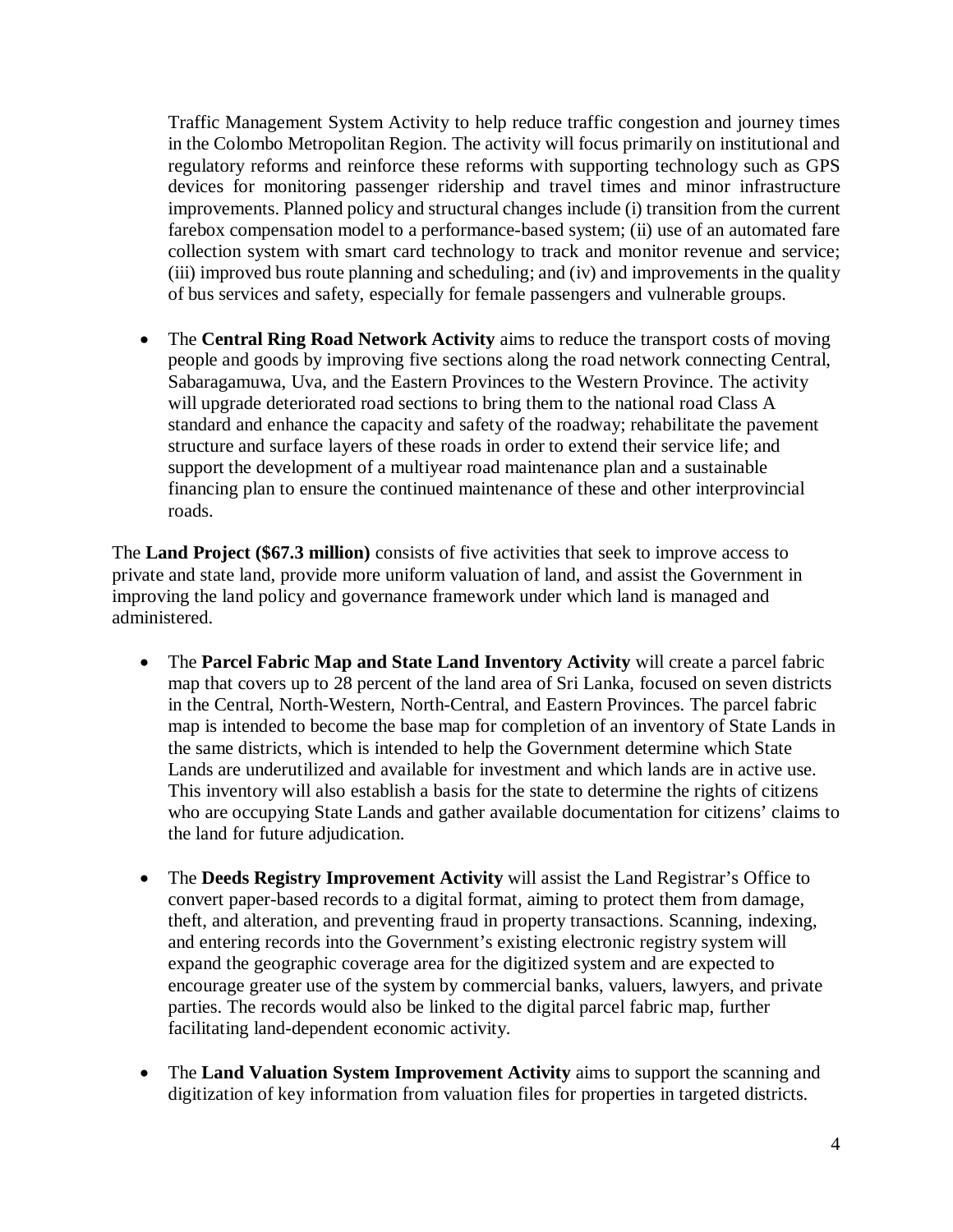Traffic Management System Activity to help reduce traffic congestion and journey times in the Colombo Metropolitan Region. The activity will focus primarily on institutional and regulatory reforms and reinforce these reforms with supporting technology such as GPS devices for monitoring passenger ridership and travel times and minor infrastructure improvements. Planned policy and structural changes include (i) transition from the current farebox compensation model to a performance-based system; (ii) use of an automated fare collection system with smart card technology to track and monitor revenue and service; (iii) improved bus route planning and scheduling; and (iv) and improvements in the quality of bus services and safety, especially for female passengers and vulnerable groups.

• The **Central Ring Road Network Activity** aims to reduce the transport costs of moving people and goods by improving five sections along the road network connecting Central, Sabaragamuwa, Uva, and the Eastern Provinces to the Western Province. The activity will upgrade deteriorated road sections to bring them to the national road Class A standard and enhance the capacity and safety of the roadway; rehabilitate the pavement structure and surface layers of these roads in order to extend their service life; and support the development of a multiyear road maintenance plan and a sustainable financing plan to ensure the continued maintenance of these and other interprovincial roads.

The **Land Project (\$67.3 million)** consists of five activities that seek to improve access to private and state land, provide more uniform valuation of land, and assist the Government in improving the land policy and governance framework under which land is managed and administered.

- The **Parcel Fabric Map and State Land Inventory Activity** will create a parcel fabric map that covers up to 28 percent of the land area of Sri Lanka, focused on seven districts in the Central, North-Western, North-Central, and Eastern Provinces. The parcel fabric map is intended to become the base map for completion of an inventory of State Lands in the same districts, which is intended to help the Government determine which State Lands are underutilized and available for investment and which lands are in active use. This inventory will also establish a basis for the state to determine the rights of citizens who are occupying State Lands and gather available documentation for citizens' claims to the land for future adjudication.
- The **Deeds Registry Improvement Activity** will assist the Land Registrar's Office to convert paper-based records to a digital format, aiming to protect them from damage, theft, and alteration, and preventing fraud in property transactions. Scanning, indexing, and entering records into the Government's existing electronic registry system will expand the geographic coverage area for the digitized system and are expected to encourage greater use of the system by commercial banks, valuers, lawyers, and private parties. The records would also be linked to the digital parcel fabric map, further facilitating land-dependent economic activity.
- The **Land Valuation System Improvement Activity** aims to support the scanning and digitization of key information from valuation files for properties in targeted districts.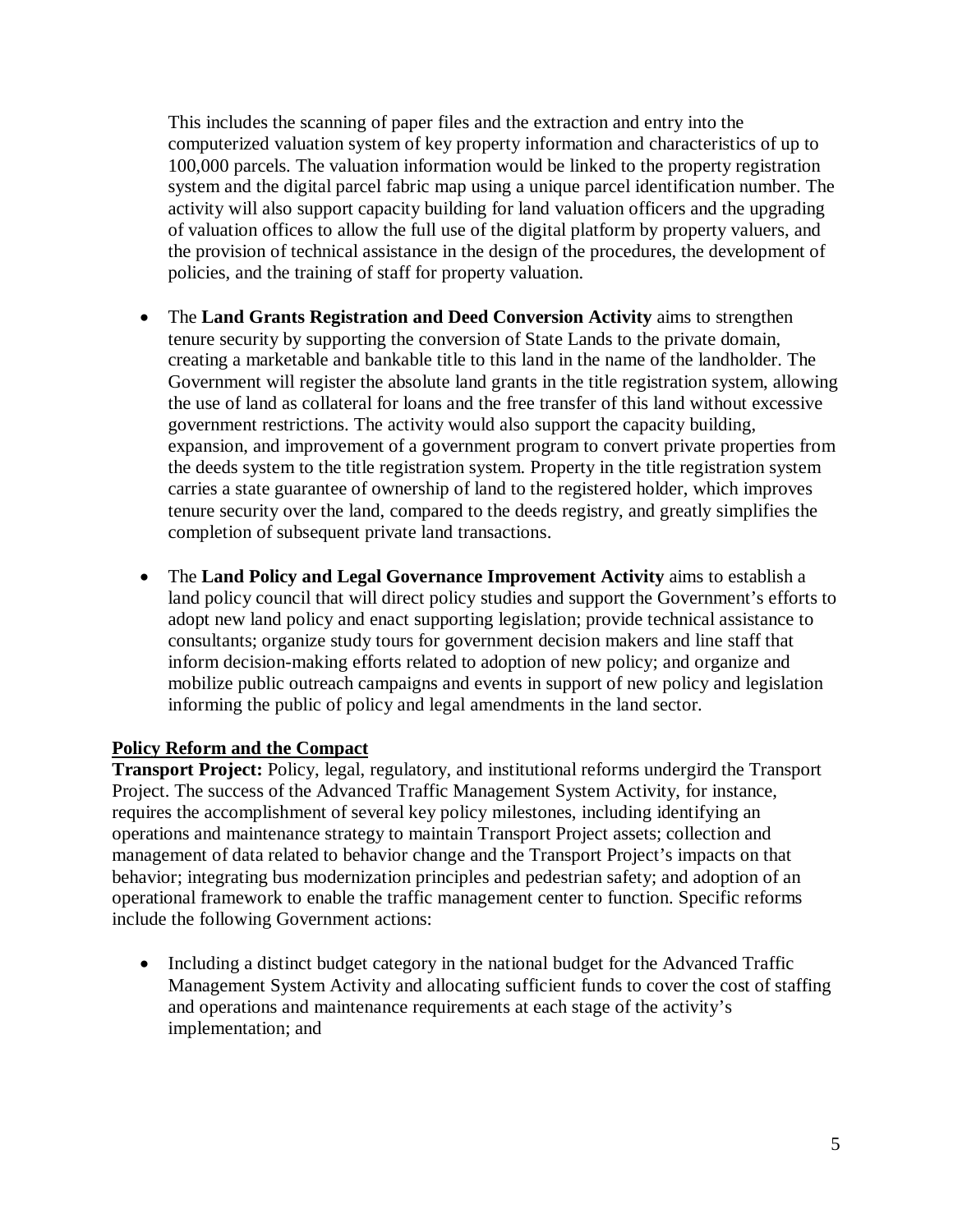This includes the scanning of paper files and the extraction and entry into the computerized valuation system of key property information and characteristics of up to 100,000 parcels. The valuation information would be linked to the property registration system and the digital parcel fabric map using a unique parcel identification number. The activity will also support capacity building for land valuation officers and the upgrading of valuation offices to allow the full use of the digital platform by property valuers, and the provision of technical assistance in the design of the procedures, the development of policies, and the training of staff for property valuation.

- The **Land Grants Registration and Deed Conversion Activity** aims to strengthen tenure security by supporting the conversion of State Lands to the private domain, creating a marketable and bankable title to this land in the name of the landholder. The Government will register the absolute land grants in the title registration system, allowing the use of land as collateral for loans and the free transfer of this land without excessive government restrictions. The activity would also support the capacity building, expansion, and improvement of a government program to convert private properties from the deeds system to the title registration system. Property in the title registration system carries a state guarantee of ownership of land to the registered holder, which improves tenure security over the land, compared to the deeds registry, and greatly simplifies the completion of subsequent private land transactions.
- The **Land Policy and Legal Governance Improvement Activity** aims to establish a land policy council that will direct policy studies and support the Government's efforts to adopt new land policy and enact supporting legislation; provide technical assistance to consultants; organize study tours for government decision makers and line staff that inform decision-making efforts related to adoption of new policy; and organize and mobilize public outreach campaigns and events in support of new policy and legislation informing the public of policy and legal amendments in the land sector.

# **Policy Reform and the Compact**

**Transport Project:** Policy, legal, regulatory, and institutional reforms undergird the Transport Project. The success of the Advanced Traffic Management System Activity, for instance, requires the accomplishment of several key policy milestones, including identifying an operations and maintenance strategy to maintain Transport Project assets; collection and management of data related to behavior change and the Transport Project's impacts on that behavior; integrating bus modernization principles and pedestrian safety; and adoption of an operational framework to enable the traffic management center to function. Specific reforms include the following Government actions:

• Including a distinct budget category in the national budget for the Advanced Traffic Management System Activity and allocating sufficient funds to cover the cost of staffing and operations and maintenance requirements at each stage of the activity's implementation; and